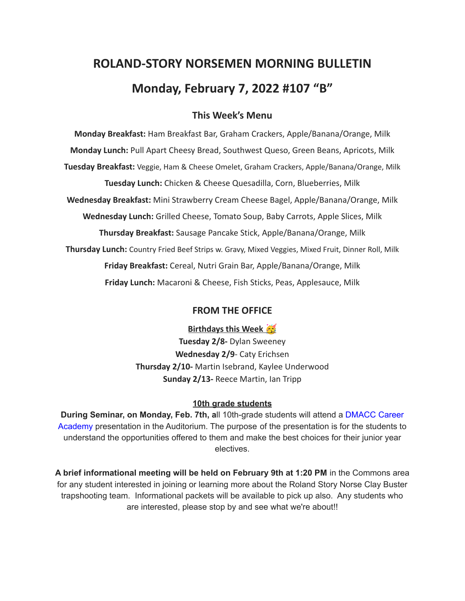# **ROLAND-STORY NORSEMEN MORNING BULLETIN Monday, February 7, 2022 #107 "B"**

## **This Week's Menu**

**Monday Breakfast:** Ham Breakfast Bar, Graham Crackers, Apple/Banana/Orange, Milk **Monday Lunch:** Pull Apart Cheesy Bread, Southwest Queso, Green Beans, Apricots, Milk **Tuesday Breakfast:** Veggie, Ham & Cheese Omelet, Graham Crackers, Apple/Banana/Orange, Milk **Tuesday Lunch:** Chicken & Cheese Quesadilla, Corn, Blueberries, Milk **Wednesday Breakfast:** Mini Strawberry Cream Cheese Bagel, Apple/Banana/Orange, Milk **Wednesday Lunch:** Grilled Cheese, Tomato Soup, Baby Carrots, Apple Slices, Milk **Thursday Breakfast:** Sausage Pancake Stick, Apple/Banana/Orange, Milk **Thursday Lunch:** Country Fried Beef Strips w. Gravy, Mixed Veggies, Mixed Fruit, Dinner Roll, Milk **Friday Breakfast:** Cereal, Nutri Grain Bar, Apple/Banana/Orange, Milk **Friday Lunch:** Macaroni & Cheese, Fish Sticks, Peas, Applesauce, Milk

## **FROM THE OFFICE**

## **Birthdays this Week**

**Tuesday 2/8-** Dylan Sweeney **Wednesday 2/9**- Caty Erichsen **Thursday 2/10-** Martin Isebrand, Kaylee Underwood **Sunday 2/13-** Reece Martin, Ian Tripp

### **10th grade students**

**During Seminar, on Monday, Feb. 7th, a**ll 10th-grade students will attend a DMACC Career Academy presentation in the Auditorium. The purpose of the presentation is for the students to understand the opportunities offered to them and make the best choices for their junior year electives.

**A brief informational meeting will be held on February 9th at 1:20 PM** in the Commons area for any student interested in joining or learning more about the Roland Story Norse Clay Buster trapshooting team. Informational packets will be available to pick up also. Any students who are interested, please stop by and see what we're about!!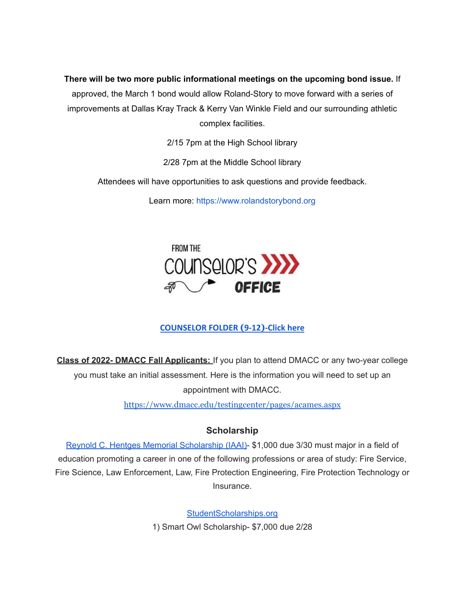**There will be two more public informational meetings on the upcoming bond issue.** If approved, the March 1 bond would allow Roland-Story to move forward with a series of improvements at Dallas Kray Track & Kerry Van Winkle Field and our surrounding athletic complex facilities.

2/15 7pm at the High School library

2/28 7pm at the Middle School library

Attendees will have opportunities to ask questions and provide feedback.

Learn more: [https://www.rolandstorybond.org](https://www.rolandstorybond.org/?fbclid=IwAR3AJHhy8S8KvQsof-Z44UTrIBXDkOZFSdMyUXMovrg0bH3FkvkTprNkFuM)



# **[COUNSELOR FOLDER](https://docs.google.com/document/d/1vmwczNPbDzXe9vFaG5LJMQ7NYDv-i4oQJHybqA65TUc/edit?usp=sharing) (9-12)-Click here**

**Class of 2022- DMACC Fall Applicants:** If you plan to attend DMACC or any two-year college you must take an initial assessment. Here is the information you will need to set up an appointment with DMACC.

<https://www.dmacc.edu/testingcenter/pages/acames.aspx>

# **Scholarship**

Reynold C. Hentges Memorial [Scholarship](https://drive.google.com/file/d/1hjWI_srze5__tTjHVbJ5z3zd1-S63qlS/view?usp=sharing) (IAAI)- \$1,000 due 3/30 must major in a field of education promoting a career in one of the following professions or area of study: Fire Service, Fire Science, Law Enforcement, Law, Fire Protection Engineering, Fire Protection Technology or Insurance.

> [StudentScholarships.org](https://drive.google.com/file/d/1hV3dZAuh9FIeLf132rgQi86QgS7AQzZD/view?usp=sharing) 1) Smart Owl Scholarship- \$7,000 due 2/28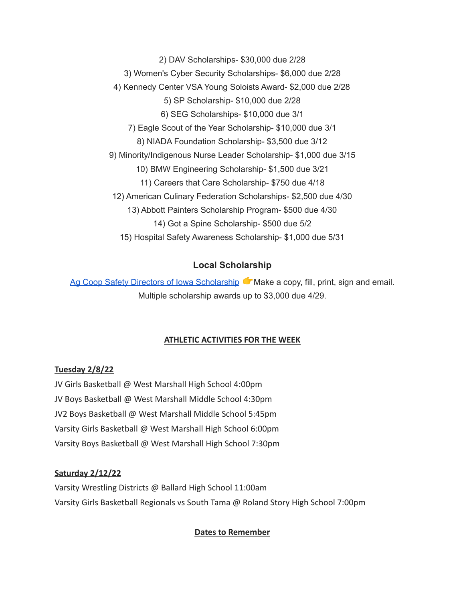2) DAV Scholarships- \$30,000 due 2/28 3) Women's Cyber Security Scholarships- \$6,000 due 2/28 4) Kennedy Center VSA Young Soloists Award- \$2,000 due 2/28 5) SP Scholarship- \$10,000 due 2/28 6) SEG Scholarships- \$10,000 due 3/1 7) Eagle Scout of the Year Scholarship- \$10,000 due 3/1 8) NIADA Foundation Scholarship- \$3,500 due 3/12 9) Minority/Indigenous Nurse Leader Scholarship- \$1,000 due 3/15 10) BMW Engineering Scholarship- \$1,500 due 3/21 11) Careers that Care Scholarship- \$750 due 4/18 12) American Culinary Federation Scholarships- \$2,500 due 4/30 13) Abbott Painters Scholarship Program- \$500 due 4/30 14) Got a Spine Scholarship- \$500 due 5/2 15) Hospital Safety Awareness Scholarship- \$1,000 due 5/31

## **Local Scholarship**

Ag Coop Safety Directors of Iowa [Scholarship](https://drive.google.com/file/d/1wX3l1X88nHo4DZaVPAlq49FzsUtMJSWh/view?usp=sharing) Make a copy, fill, print, sign and email. Multiple scholarship awards up to \$3,000 due 4/29.

### **ATHLETIC ACTIVITIES FOR THE WEEK**

### **Tuesday 2/8/22**

JV Girls Basketball @ West Marshall High School 4:00pm JV Boys Basketball @ West Marshall Middle School 4:30pm JV2 Boys Basketball @ West Marshall Middle School 5:45pm Varsity Girls Basketball @ West Marshall High School 6:00pm Varsity Boys Basketball @ West Marshall High School 7:30pm

#### **Saturday 2/12/22**

Varsity Wrestling Districts @ Ballard High School 11:00am Varsity Girls Basketball Regionals vs South Tama @ Roland Story High School 7:00pm

### **Dates to Remember**